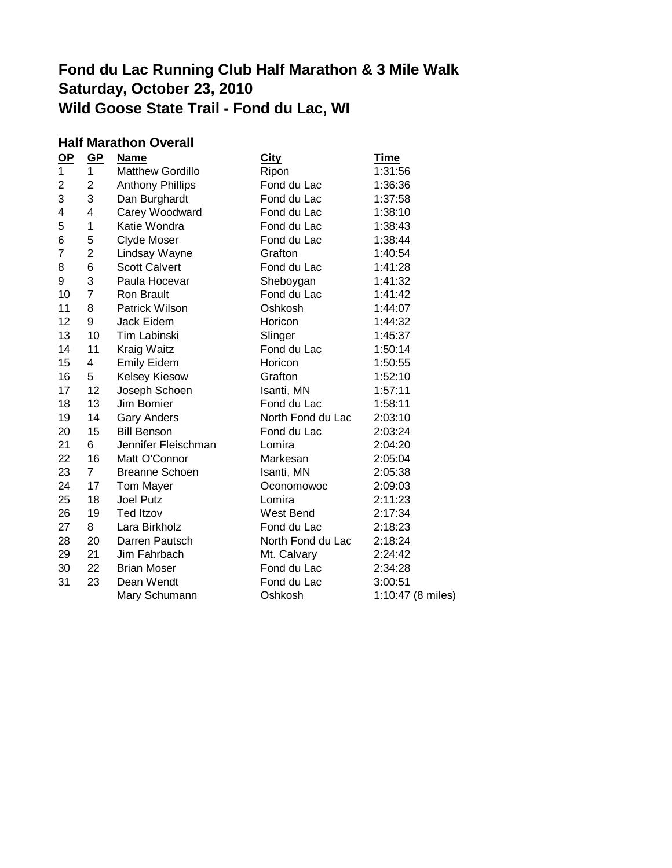# **Fond du Lac Running Club Half Marathon & 3 Mile Walk Saturday, October 23, 2010 Wild Goose State Trail - Fond du Lac, WI**

### **Half Marathon Overall**

| $\mathbf{Q}$ | GP             | <b>Name</b>             | <b>City</b>       | <b>Time</b>       |
|--------------|----------------|-------------------------|-------------------|-------------------|
| 1            | $\mathbf{1}$   | <b>Matthew Gordillo</b> | Ripon             | 1:31:56           |
| 2            | $\overline{2}$ | <b>Anthony Phillips</b> | Fond du Lac       | 1:36:36           |
| 3            | 3              | Dan Burghardt           | Fond du Lac       | 1:37:58           |
| 4            | 4              | Carey Woodward          | Fond du Lac       | 1:38:10           |
| 5            | 1              | Katie Wondra            | Fond du Lac       | 1:38:43           |
| 6            | 5              | Clyde Moser             | Fond du Lac       | 1:38:44           |
| 7            | $\overline{2}$ | Lindsay Wayne           | Grafton           | 1:40:54           |
| 8            | 6              | <b>Scott Calvert</b>    | Fond du Lac       | 1:41:28           |
| 9            | 3              | Paula Hocevar           | Sheboygan         | 1:41:32           |
| 10           | $\overline{7}$ | Ron Brault              | Fond du Lac       | 1:41:42           |
| 11           | 8              | Patrick Wilson          | Oshkosh           | 1:44:07           |
| 12           | 9              | Jack Eidem              | Horicon           | 1:44:32           |
| 13           | 10             | <b>Tim Labinski</b>     | Slinger           | 1:45:37           |
| 14           | 11             | Kraig Waitz             | Fond du Lac       | 1:50:14           |
| 15           | 4              | <b>Emily Eidem</b>      | Horicon           | 1:50:55           |
| 16           | 5              | <b>Kelsey Kiesow</b>    | Grafton           | 1:52:10           |
| 17           | 12             | Joseph Schoen           | Isanti, MN        | 1:57:11           |
| 18           | 13             | Jim Bomier              | Fond du Lac       | 1:58:11           |
| 19           | 14             | <b>Gary Anders</b>      | North Fond du Lac | 2:03:10           |
| 20           | 15             | <b>Bill Benson</b>      | Fond du Lac       | 2:03:24           |
| 21           | 6              | Jennifer Fleischman     | Lomira            | 2:04:20           |
| 22           | 16             | Matt O'Connor           | Markesan          | 2:05:04           |
| 23           | 7 <sup>7</sup> | <b>Breanne Schoen</b>   | Isanti, MN        | 2:05:38           |
| 24           | 17             | Tom Mayer               | Oconomowoc        | 2:09:03           |
| 25           | 18             | Joel Putz               | Lomira            | 2:11:23           |
| 26           | 19             | <b>Ted Itzov</b>        | West Bend         | 2:17:34           |
| 27           | 8              | Lara Birkholz           | Fond du Lac       | 2:18:23           |
| 28           | 20             | Darren Pautsch          | North Fond du Lac | 2:18:24           |
| 29           | 21             | Jim Fahrbach            | Mt. Calvary       | 2:24:42           |
| 30           | 22             | <b>Brian Moser</b>      | Fond du Lac       | 2:34:28           |
| 31           | 23             | Dean Wendt              | Fond du Lac       | 3:00:51           |
|              |                | Mary Schumann           | Oshkosh           | 1:10:47 (8 miles) |
|              |                |                         |                   |                   |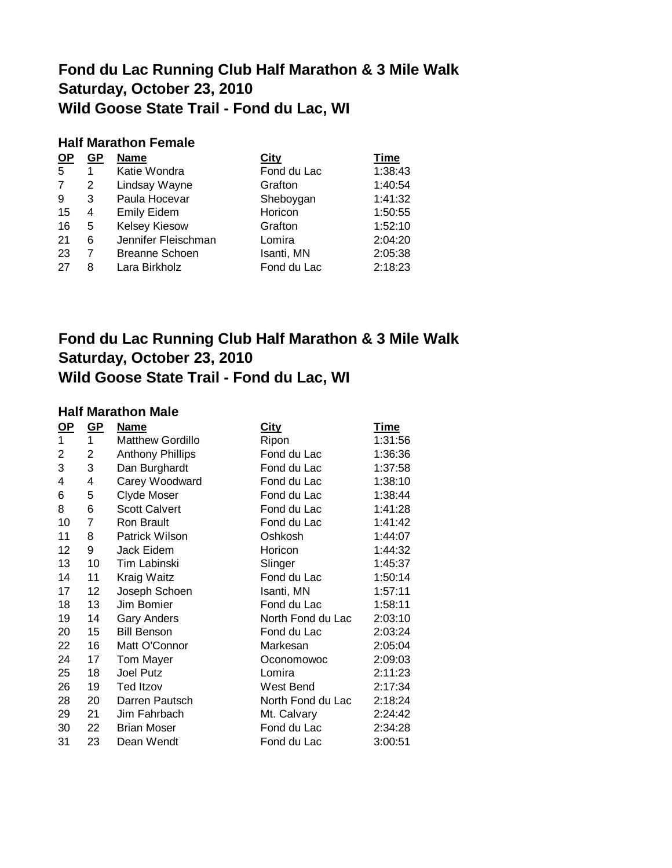## **Fond du Lac Running Club Half Marathon & 3 Mile Walk Saturday, October 23, 2010 Wild Goose State Trail - Fond du Lac, WI**

#### **Half Marathon Female**

| <b>OP</b> | GP | <b>Name</b>           | City        | <b>Time</b> |
|-----------|----|-----------------------|-------------|-------------|
| 5         | 1  | Katie Wondra          | Fond du Lac | 1:38:43     |
| 7         | 2  | Lindsay Wayne         | Grafton     | 1:40:54     |
| 9         | 3  | Paula Hocevar         | Sheboygan   | 1:41:32     |
| 15        | 4  | <b>Emily Eidem</b>    | Horicon     | 1:50:55     |
| 16        | 5  | <b>Kelsey Kiesow</b>  | Grafton     | 1:52:10     |
| 21        | 6  | Jennifer Fleischman   | Lomira      | 2:04:20     |
| 23        | 7  | <b>Breanne Schoen</b> | Isanti, MN  | 2:05:38     |
| 27        | 8  | Lara Birkholz         | Fond du Lac | 2:18:23     |

### **Fond du Lac Running Club Half Marathon & 3 Mile Walk Saturday, October 23, 2010 Wild Goose State Trail - Fond du Lac, WI**

### **Half Marathon Male**

| <u>OP</u> | $GP$ | <b>Name</b>             | <b>City</b>       | <b>Time</b> |
|-----------|------|-------------------------|-------------------|-------------|
| 1         | 1    | <b>Matthew Gordillo</b> | Ripon             | 1:31:56     |
| 2         | 2    | <b>Anthony Phillips</b> | Fond du Lac       | 1:36:36     |
| 3         | 3    | Dan Burghardt           | Fond du Lac       | 1:37:58     |
| 4         | 4    | Carey Woodward          | Fond du Lac       | 1:38:10     |
| 6         | 5    | Clyde Moser             | Fond du Lac       | 1:38:44     |
| 8         | 6    | <b>Scott Calvert</b>    | Fond du Lac       | 1:41:28     |
| 10        | 7    | Ron Brault              | Fond du Lac       | 1:41:42     |
| 11        | 8    | Patrick Wilson          | Oshkosh           | 1:44:07     |
| 12        | 9    | Jack Eidem              | Horicon           | 1:44:32     |
| 13        | 10   | <b>Tim Labinski</b>     | Slinger           | 1:45:37     |
| 14        | 11   | Kraig Waitz             | Fond du Lac       | 1:50:14     |
| 17        | 12   | Joseph Schoen           | Isanti, MN        | 1:57:11     |
| 18        | 13   | Jim Bomier              | Fond du Lac       | 1:58:11     |
| 19        | 14   | <b>Gary Anders</b>      | North Fond du Lac | 2:03:10     |
| 20        | 15   | <b>Bill Benson</b>      | Fond du Lac       | 2:03:24     |
| 22        | 16   | Matt O'Connor           | Markesan          | 2:05:04     |
| 24        | 17   | <b>Tom Mayer</b>        | Oconomowoc        | 2:09:03     |
| 25        | 18   | Joel Putz               | Lomira            | 2:11:23     |
| 26        | 19   | <b>Ted Itzov</b>        | West Bend         | 2:17:34     |
| 28        | 20   | Darren Pautsch          | North Fond du Lac | 2:18:24     |
| 29        | 21   | Jim Fahrbach            | Mt. Calvary       | 2:24:42     |
| 30        | 22   | <b>Brian Moser</b>      | Fond du Lac       | 2:34:28     |
| 31        | 23   | Dean Wendt              | Fond du Lac       | 3:00:51     |